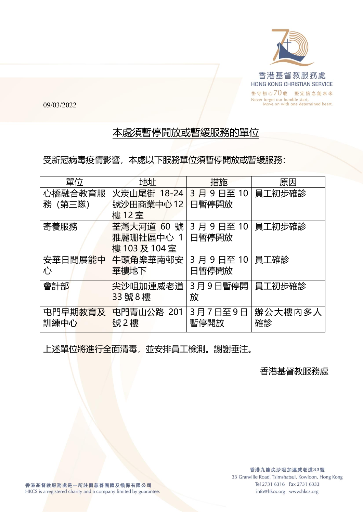

09/03/2022

## 本處須暫停開放或暫緩服務的單位

受新冠病毒疫情影響,本處以下服務單位須暫停開放或暫緩服務:

| 單位              | 地址                                   | 措施                   | 原因            |
|-----------------|--------------------------------------|----------------------|---------------|
| 心橋融合教育服         | 火炭山尾街 18-24                          | 3月9日至10              | 員工初步確診        |
| 務 (第三隊)         | 號沙田商業中心12<br>樓12室                    | 日暫停開放                |               |
| 寄養服務            | 荃灣大河道 60 號<br>雅麗珊社區中心 1<br>樓103及104室 | 3 月 9 日至 10<br>日暫停開放 | 員工初步確診        |
| 安華日間展能中<br>心    | 牛頭角樂華南邨安<br>華樓地下                     | 3月9日至10<br>日暫停開放     | 員工確診          |
| 會計部             | 尖沙咀加連威老道<br>33號8樓                    | 3月9日暫停開<br>放         | 員工初步確診        |
| 屯門早期教育及<br>訓練中心 | 屯門青山公路 201<br>號2樓                    | 3月7日至9日<br>暫停開放      | 辦公大樓内多人<br>確診 |

上述單位將進行全面清毒,並安排員工檢測。謝謝垂注。

香港基督教服務處